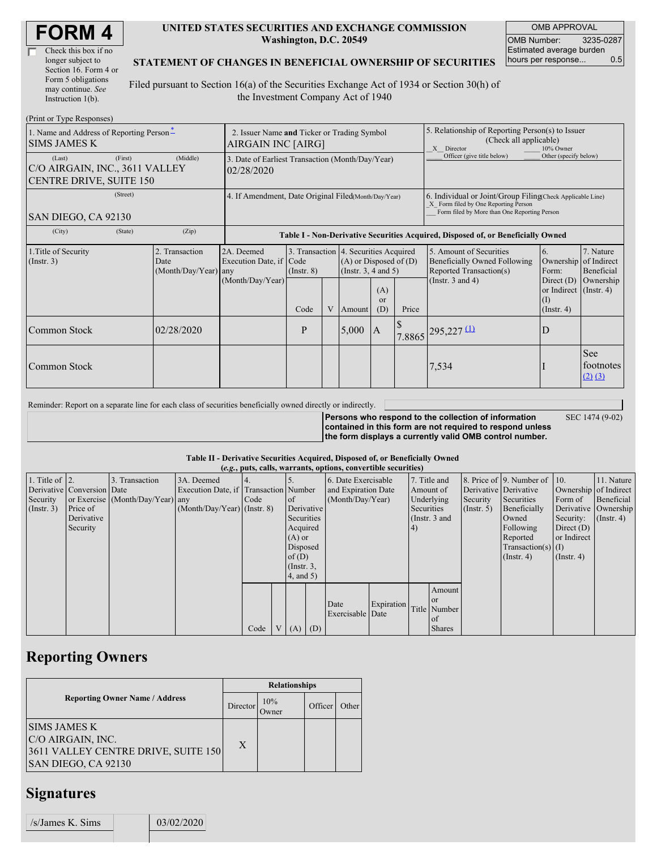| <b>FORM4</b> |
|--------------|
|--------------|

| Check this box if no  |
|-----------------------|
| longer subject to     |
| Section 16. Form 4 or |
| Form 5 obligations    |
| may continue. See     |
| Instruction 1(b).     |

#### **UNITED STATES SECURITIES AND EXCHANGE COMMISSION Washington, D.C. 20549**

OMB APPROVAL OMB Number: 3235-0287 Estimated average burden hours per response... 0.5

#### **STATEMENT OF CHANGES IN BENEFICIAL OWNERSHIP OF SECURITIES**

Filed pursuant to Section 16(a) of the Securities Exchange Act of 1934 or Section 30(h) of the Investment Company Act of 1940

| (Print or Type Responses)                                                  |                                                                   |                        |                                                                                     |                                                                                  |   |                                                                                                 |                                                                                                                                                    |                       |                                                                                    |                                                                   |                                 |  |
|----------------------------------------------------------------------------|-------------------------------------------------------------------|------------------------|-------------------------------------------------------------------------------------|----------------------------------------------------------------------------------|---|-------------------------------------------------------------------------------------------------|----------------------------------------------------------------------------------------------------------------------------------------------------|-----------------------|------------------------------------------------------------------------------------|-------------------------------------------------------------------|---------------------------------|--|
| 1. Name and Address of Reporting Person-<br><b>SIMS JAMES K</b>            | 2. Issuer Name and Ticker or Trading Symbol<br>AIRGAIN INC [AIRG] |                        |                                                                                     |                                                                                  |   |                                                                                                 | 5. Relationship of Reporting Person(s) to Issuer<br>(Check all applicable)<br>X Director<br>10% Owner                                              |                       |                                                                                    |                                                                   |                                 |  |
| (Last)<br>C/O AIRGAIN, INC., 3611 VALLEY<br><b>CENTRE DRIVE, SUITE 150</b> | 3. Date of Earliest Transaction (Month/Day/Year)<br>02/28/2020    |                        |                                                                                     |                                                                                  |   |                                                                                                 | Officer (give title below)                                                                                                                         | Other (specify below) |                                                                                    |                                                                   |                                 |  |
| SAN DIEGO, CA 92130                                                        | 4. If Amendment, Date Original Filed(Month/Day/Year)              |                        |                                                                                     |                                                                                  |   |                                                                                                 | 6. Individual or Joint/Group Filing Check Applicable Line)<br>X Form filed by One Reporting Person<br>Form filed by More than One Reporting Person |                       |                                                                                    |                                                                   |                                 |  |
| (City)                                                                     | (State)                                                           | (Zip)                  |                                                                                     | Table I - Non-Derivative Securities Acquired, Disposed of, or Beneficially Owned |   |                                                                                                 |                                                                                                                                                    |                       |                                                                                    |                                                                   |                                 |  |
| 1. Title of Security<br>(Insert. 3)                                        |                                                                   | 2. Transaction<br>Date | 2A. Deemed<br>Execution Date, if Code<br>$(Month/Day/Year)$ any<br>(Month/Day/Year) | $($ Instr. $8)$                                                                  |   | 3. Transaction 4. Securities Acquired<br>$(A)$ or Disposed of $(D)$<br>(Instr. $3, 4$ and $5$ ) |                                                                                                                                                    |                       | 5. Amount of Securities<br>Beneficially Owned Following<br>Reported Transaction(s) | 6.<br>Ownership of Indirect<br>Form:                              | 7. Nature<br>Beneficial         |  |
|                                                                            |                                                                   |                        |                                                                                     | Code                                                                             | V | Amount                                                                                          | (A)<br><sub>or</sub><br>(D)                                                                                                                        | Price                 | (Instr. $3$ and $4$ )                                                              | Direct $(D)$<br>or Indirect (Instr. 4)<br>(I)<br>$($ Instr. 4 $)$ | Ownership                       |  |
| Common Stock                                                               |                                                                   | 02/28/2020             |                                                                                     | P                                                                                |   | 5,000                                                                                           | $\mathsf{A}$                                                                                                                                       |                       | $7.8865$ 295,227 (1)                                                               | D                                                                 |                                 |  |
| Common Stock                                                               |                                                                   |                        |                                                                                     |                                                                                  |   |                                                                                                 |                                                                                                                                                    |                       | 7,534                                                                              |                                                                   | See<br>footnotes<br>$(2)$ $(3)$ |  |

Reminder: Report on a separate line for each class of securities beneficially owned directly or indirectly.

SEC 1474 (9-02)

**Persons who respond to the collection of information contained in this form are not required to respond unless the form displays a currently valid OMB control number.**

### **Table II - Derivative Securities Acquired, Disposed of, or Beneficially Owned**

| (e.g., puts, calls, warrants, options, convertible securities) |                            |                                  |                                       |      |              |                 |  |                          |            |               |               |                       |                              |                       |                      |
|----------------------------------------------------------------|----------------------------|----------------------------------|---------------------------------------|------|--------------|-----------------|--|--------------------------|------------|---------------|---------------|-----------------------|------------------------------|-----------------------|----------------------|
| 1. Title of $\vert$ 2.                                         |                            | 3. Transaction                   | 3A. Deemed                            |      |              |                 |  | 6. Date Exercisable      |            | 7. Title and  |               |                       | 8. Price of 9. Number of 10. |                       | 11. Nature           |
|                                                                | Derivative Conversion Date |                                  | Execution Date, if Transaction Number |      |              |                 |  | and Expiration Date      |            | Amount of     |               | Derivative Derivative |                              | Ownership of Indirect |                      |
| Security                                                       |                            | or Exercise (Month/Day/Year) any |                                       | Code |              | $\circ$ f       |  | (Month/Day/Year)         |            | Underlying    |               | Security              | Securities                   | Form of               | Beneficial           |
| $($ Instr. 3 $)$                                               | Price of                   |                                  | $(Month/Day/Year)$ (Instr. 8)         |      |              | Derivative      |  |                          |            | Securities    |               | (Insert. 5)           | Beneficially                 |                       | Derivative Ownership |
|                                                                | Derivative                 |                                  |                                       |      |              | Securities      |  |                          |            | (Instr. 3 and |               |                       | Owned                        | Security:             | $($ Instr. 4 $)$     |
|                                                                | Security                   |                                  |                                       |      |              | Acquired        |  |                          |            | $\vert 4)$    |               |                       | Following                    | Direct $(D)$          |                      |
|                                                                |                            |                                  |                                       |      |              | $(A)$ or        |  |                          |            |               |               |                       | Reported                     | or Indirect           |                      |
|                                                                |                            |                                  |                                       |      |              | Disposed        |  |                          |            |               |               |                       | $Transaction(s)$ (I)         |                       |                      |
|                                                                |                            |                                  |                                       |      |              | of $(D)$        |  |                          |            |               |               |                       | $($ Instr. 4 $)$             | $($ Instr. 4 $)$      |                      |
|                                                                |                            |                                  |                                       |      |              | $($ Instr. $3,$ |  |                          |            |               |               |                       |                              |                       |                      |
|                                                                |                            |                                  |                                       |      |              | 4, and 5)       |  |                          |            |               |               |                       |                              |                       |                      |
|                                                                |                            |                                  |                                       |      |              |                 |  |                          |            |               | Amount        |                       |                              |                       |                      |
|                                                                |                            |                                  |                                       |      |              |                 |  |                          |            |               | <b>or</b>     |                       |                              |                       |                      |
|                                                                |                            |                                  |                                       |      |              |                 |  | Date<br>Exercisable Date | Expiration |               | Title Number  |                       |                              |                       |                      |
|                                                                |                            |                                  |                                       |      |              |                 |  |                          |            |               | of            |                       |                              |                       |                      |
|                                                                |                            |                                  |                                       | Code | $\mathbf{V}$ | $(A)$ $(D)$     |  |                          |            |               | <b>Shares</b> |                       |                              |                       |                      |

# **Reporting Owners**

|                                                                                                        | <b>Relationships</b> |                     |         |       |  |  |  |  |
|--------------------------------------------------------------------------------------------------------|----------------------|---------------------|---------|-------|--|--|--|--|
| <b>Reporting Owner Name / Address</b>                                                                  | Director             | 10%<br><b>Dwner</b> | Officer | Other |  |  |  |  |
| <b>SIMS JAMES K</b><br>C/O AIRGAIN, INC.<br>3611 VALLEY CENTRE DRIVE, SUITE 150<br>SAN DIEGO, CA 92130 | X                    |                     |         |       |  |  |  |  |

# **Signatures**

| /s/James K. Sims | 03/02/2020 |  |
|------------------|------------|--|
|                  |            |  |